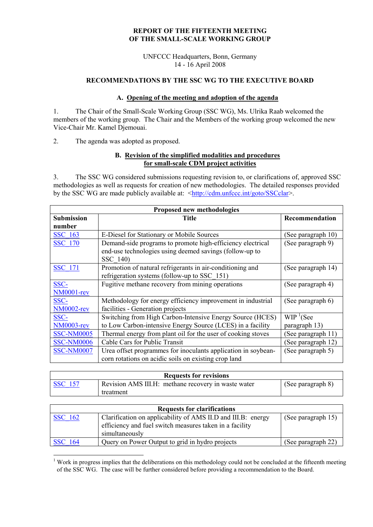## **REPORT OF THE FIFTEENTH MEETING OF THE SMALL-SCALE WORKING GROUP**

#### UNFCCC Headquarters, Bonn, Germany 14 - 16 April 2008

## **RECOMMENDATIONS BY THE SSC WG TO THE EXECUTIVE BOARD**

#### **A. Opening of the meeting and adoption of the agenda**

1. The Chair of the Small-Scale Working Group (SSC WG), Ms. Ulrika Raab welcomed the members of the working group. The Chair and the Members of the working group welcomed the new Vice-Chair Mr. Kamel Djemouai.

2. The agenda was adopted as proposed.

## **B. Revision of the simplified modalities and procedures for small-scale CDM project activities**

3. The SSC WG considered submissions requesting revision to, or clarifications of, approved SSC methodologies as well as requests for creation of new methodologies. The detailed responses provided by the SSC WG are made publicly available at: <<http://cdm.unfccc.int/goto/SSCclar>>.

| Proposed new methodologies |                                                               |                         |
|----------------------------|---------------------------------------------------------------|-------------------------|
| <b>Submission</b>          | <b>Title</b>                                                  | Recommendation          |
| number                     |                                                               |                         |
| <b>SSC</b> 163             | E-Diesel for Stationary or Mobile Sources                     | (See paragraph 10)      |
| <b>SSC</b> 170             | Demand-side programs to promote high-efficiency electrical    | (See paragraph 9)       |
|                            | end-use technologies using deemed savings (follow-up to       |                         |
|                            | SSC 140)                                                      |                         |
| <b>SSC 171</b>             | Promotion of natural refrigerants in air-conditioning and     | (See paragraph 14)      |
|                            | refrigeration systems (follow-up to SSC 151)                  |                         |
| SSC-                       | Fugitive methane recovery from mining operations              | (See paragraph 4)       |
| NM0001-rev                 |                                                               |                         |
| SSC-                       | Methodology for energy efficiency improvement in industrial   | (See paragraph 6)       |
| <b>NM0002-rev</b>          | facilities - Generation projects                              |                         |
| SSC-                       | Switching from High Carbon-Intensive Energy Source (HCES)     | $WIP$ <sup>1</sup> (See |
| <b>NM0003-rev</b>          | to Low Carbon-intensive Energy Source (LCES) in a facility    | paragraph 13)           |
| <b>SSC-NM0005</b>          | Thermal energy from plant oil for the user of cooking stoves  | (See paragraph 11)      |
| <b>SSC-NM0006</b>          | Cable Cars for Public Transit                                 | (See paragraph 12)      |
| <b>SSC-NM0007</b>          | Urea offset programmes for inoculants application in soybean- | (See paragraph 5)       |
|                            | corn rotations on acidic soils on existing crop land          |                         |

|                | <b>Requests for revisions</b>                       |                   |
|----------------|-----------------------------------------------------|-------------------|
| <b>SSC</b> 157 | Revision AMS III.H: methane recovery in waste water | (See paragraph 8) |
|                | treatment                                           |                   |

| <b>Requests for clarifications</b> |                                                              |                    |
|------------------------------------|--------------------------------------------------------------|--------------------|
| <b>SSC</b> 162                     | Clarification on applicability of AMS II.D and III.B: energy | (See paragraph 15) |
|                                    | efficiency and fuel switch measures taken in a facility      |                    |
|                                    | simultaneously                                               |                    |
| <b>SSC</b> 164                     | Query on Power Output to grid in hydro projects              | (See paragraph 22) |

<span id="page-0-0"></span> $1$  Work in progress implies that the deliberations on this methodology could not be concluded at the fifteenth meeting of the SSC WG. The case will be further considered before providing a recommendation to the Board.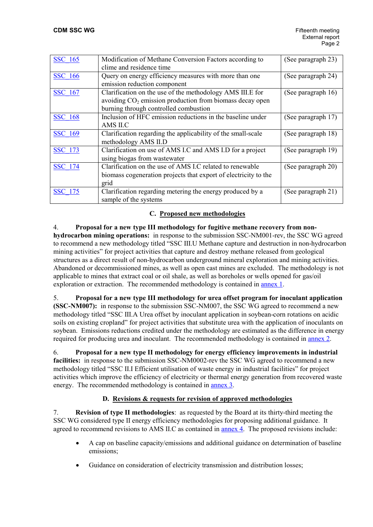| <b>SSC 165</b> | Modification of Methane Conversion Factors according to         | (See paragraph 23) |
|----------------|-----------------------------------------------------------------|--------------------|
|                | clime and residence time                                        |                    |
| <b>SSC 166</b> | Query on energy efficiency measures with more than one          | (See paragraph 24) |
|                | emission reduction component                                    |                    |
| <b>SSC</b> 167 | Clarification on the use of the methodology AMS III.E for       | (See paragraph 16) |
|                | avoiding $CO2$ emission production from biomass decay open      |                    |
|                | burning through controlled combustion                           |                    |
| <b>SSC 168</b> | Inclusion of HFC emission reductions in the baseline under      | (See paragraph 17) |
|                | AMS II.C                                                        |                    |
| <b>SSC 169</b> | Clarification regarding the applicability of the small-scale    | (See paragraph 18) |
|                | methodology AMS II.D                                            |                    |
| <b>SSC 173</b> | Clarification on use of AMS I.C and AMS I.D for a project       | (See paragraph 19) |
|                | using biogas from wastewater                                    |                    |
| SSC 174        | Clarification on the use of AMS I.C related to renewable        | (See paragraph 20) |
|                | biomass cogeneration projects that export of electricity to the |                    |
|                | grid                                                            |                    |
| <b>SSC</b> 175 | Clarification regarding metering the energy produced by a       | (See paragraph 21) |
|                | sample of the systems                                           |                    |

## **C. Proposed new methodologies**

#### 4. **Proposal for a new type III methodology for fugitive methane recovery from non-**

**hydrocarbon mining operations:** in response to the submission SSC-NM001-rev, the SSC WG agreed to recommend a new methodology titled "SSC III.U Methane capture and destruction in non-hydrocarbon mining activities" for project activities that capture and destroy methane released from geological structures as a direct result of non-hydrocarbon underground mineral exploration and mining activities. Abandoned or decommissioned mines, as well as open cast mines are excluded. The methodology is not applicable to mines that extract coal or oil shale, as well as boreholes or wells opened for gas/oil exploration or extraction. The recommended methodology is contained in [annex 1.](https://cdm.unfccc.int/Panels/ssc_wg/015/ssc_015_an01.pdf)

5. **Proposal for a new type III methodology for urea offset program for inoculant application (SSC-NM007):** in response to the submission SSC-NM007, the SSC WG agreed to recommend a new methodology titled "SSC III.A Urea offset by inoculant application in soybean-corn rotations on acidic soils on existing cropland" for project activities that substitute urea with the application of inoculants on soybean. Emissions reductions credited under the methodology are estimated as the difference in energy required for producing urea and inoculant. The recommended methodology is contained in [annex 2](https://cdm.unfccc.int/Panels/ssc_wg/015/ssc_015_an02.pdf).

## 6. **Proposal for a new type II methodology for energy efficiency improvements in industrial facilities:** in response to the submission SSC-NM0002-rev the SSC WG agreed to recommend a new methodology titled "SSC II.I Efficient utilisation of waste energy in industrial facilities" for project activities which improve the efficiency of electricity or thermal energy generation from recovered waste energy. The recommended methodology is contained in [annex 3](https://cdm.unfccc.int/Panels/ssc_wg/015/ssc_015_an03.pdf).

## **D. Revisions & requests for revision of approved methodologies**

7. **Revision of type II methodologies**: as requested by the Board at its thirty-third meeting the SSC WG considered type II energy efficiency methodologies for proposing additional guidance. It agreed to recommend revisions to AMS II.C as contained in [annex 4.](https://cdm.unfccc.int/Panels/ssc_wg/015/ssc_015_an04.pdf) The proposed revisions include:

- A cap on baseline capacity/emissions and additional guidance on determination of baseline emissions;
- Guidance on consideration of electricity transmission and distribution losses;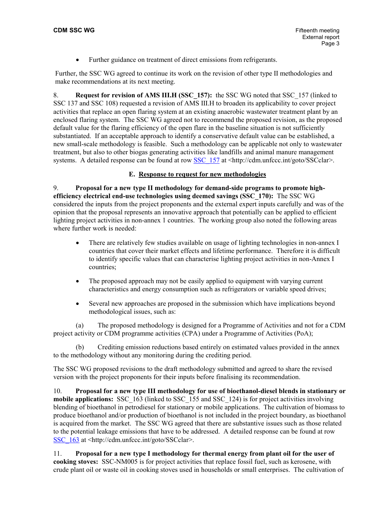• Further guidance on treatment of direct emissions from refrigerants.

Further, the SSC WG agreed to continue its work on the revision of other type II methodologies and make recommendations at its next meeting.

8. **Request for revision of AMS III.H (SSC\_157):** the SSC WG noted that SSC\_157 (linked to SSC 137 and SSC 108) requested a revision of AMS III.H to broaden its applicability to cover project activities that replace an open flaring system at an existing anaerobic wastewater treatment plant by an enclosed flaring system. The SSC WG agreed not to recommend the proposed revision, as the proposed default value for the flaring efficiency of the open flare in the baseline situation is not sufficiently substantiated. If an acceptable approach to identify a conservative default value can be established, a new small-scale methodology is feasible. Such a methodology can be applicable not only to wastewater treatment, but also to other biogas generating activities like landfills and animal manure management systems. A detailed response can be found at row [SSC\\_157](https://cdm.unfccc.int/UserManagement/FileStorage/AM_CLAR_HPO5SZEOGTKPNP9GPV17RKU2ULZ6H2) at  $\langle$ http://cdm.unfccc.int/goto/SSCclar>.

## **E. Response to request for new methodologies**

9. **Proposal for a new type II methodology for demand-side programs to promote highefficiency electrical end-use technologies using deemed savings (SSC\_170):** The SSC WG considered the inputs from the project proponents and the external expert inputs carefully and was of the opinion that the proposal represents an innovative approach that potentially can be applied to efficient lighting project activities in non-annex 1 countries. The working group also noted the following areas where further work is needed:

- There are relatively few studies available on usage of lighting technologies in non-annex I countries that cover their market effects and lifetime performance. Therefore it is difficult to identify specific values that can characterise lighting project activities in non-Annex I countries;
- The proposed approach may not be easily applied to equipment with varying current characteristics and energy consumption such as refrigerators or variable speed drives;
- Several new approaches are proposed in the submission which have implications beyond methodological issues, such as:

(a) The proposed methodology is designed for a Programme of Activities and not for a CDM project activity or CDM programme activities (CPA) under a Programme of Activities (PoA);

(b) Crediting emission reductions based entirely on estimated values provided in the annex to the methodology without any monitoring during the crediting period.

The SSC WG proposed revisions to the draft methodology submitted and agreed to share the revised version with the project proponents for their inputs before finalising its recommendation.

10. **Proposal for a new type III methodology for use of bioethanol-diesel blends in stationary or mobile applications:** SSC\_163 (linked to SSC\_155 and SSC\_124) is for project activities involving blending of bioethanol in petrodiesel for stationary or mobile applications. The cultivation of biomass to produce bioethanol and/or production of bioethanol is not included in the project boundary, as bioethanol is acquired from the market. The SSC WG agreed that there are substantive issues such as those related to the potential leakage emissions that have to be addressed. A detailed response can be found at row SSC  $\overline{163}$  at <http://cdm.unfccc.int/goto/SSCclar>.

11. **Proposal for a new type I methodology for thermal energy from plant oil for the user of cooking stoves:** SSC-NM005 is for project activities that replace fossil fuel, such as kerosene, with crude plant oil or waste oil in cooking stoves used in households or small enterprises. The cultivation of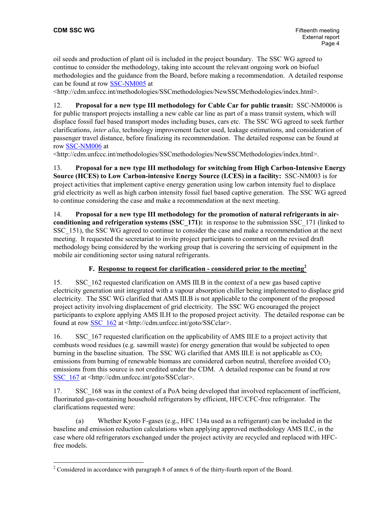oil seeds and production of plant oil is included in the project boundary. The SSC WG agreed to continue to consider the methodology, taking into account the relevant ongoing work on biofuel methodologies and the guidance from the Board, before making a recommendation. A detailed response can be found at row [SSC-NM005](https://cdm.unfccc.int/UserManagement/FileStorage/CDMWF_YNU6R5D53Z5VFQRV347CJ51FPOU32E) at

<http://cdm.unfccc.int/methodologies/SSCmethodologies/NewSSCMethodologies/index.html>.

12. **Proposal for a new type III methodology for Cable Car for public transit:** SSC-NM0006 is for public transport projects installing a new cable car line as part of a mass transit system, which will displace fossil fuel based transport modes including buses, cars etc. The SSC WG agreed to seek further clarifications, *inter alia*, technology improvement factor used, leakage estimations, and consideration of passenger travel distance, before finalizing its recommendation. The detailed response can be found at row [SSC-NM006](https://cdm.unfccc.int/UserManagement/FileStorage/CDMWF_FWO34HKDCH0LXL4HOEV4BV47H4ECK3) at

<http://cdm.unfccc.int/methodologies/SSCmethodologies/NewSSCMethodologies/index.html>.

13. **Proposal for a new type III methodology for switching from High Carbon-Intensive Energy Source (HCES) to Low Carbon-intensive Energy Source (LCES) in a facility:** SSC-NM003 is for project activities that implement captive energy generation using low carbon intensity fuel to displace grid electricity as well as high carbon intensity fossil fuel based captive generation. The SSC WG agreed to continue considering the case and make a recommendation at the next meeting.

14. **Proposal for a new type III methodology for the promotion of natural refrigerants in airconditioning and refrigeration systems (SSC\_171):** in response to the submission SSC\_171 (linked to SSC 151), the SSC WG agreed to continue to consider the case and make a recommendation at the next meeting. It requested the secretariat to invite project participants to comment on the revised draft methodology being considered by the working group that is covering the servicing of equipment in the mobile air conditioning sector using natural refrigerants.

## **F. Response to request for clarification - considered prior to the meeting[2](#page-3-0)**

15. SSC\_162 requested clarification on AMS III.B in the context of a new gas based captive electricity generation unit integrated with a vapour absorption chiller being implemented to displace grid electricity. The SSC WG clarified that AMS III.B is not applicable to the component of the proposed project activity involving displacement of grid electricity. The SSC WG encouraged the project participants to explore applying AMS II.H to the proposed project activity. The detailed response can be found at row [SSC\\_162](http://cdm.unfccc.int/UserManagement/FileStorage/AM_CLAR_B9NJAXBQ5UF285Q4UYC46PNSAMS3AV) at <http://cdm.unfccc.int/goto/SSCclar>.

16. SSC\_167 requested clarification on the applicability of AMS III.E to a project activity that combusts wood residues (e.g. sawmill waste) for energy generation that would be subjected to open burning in the baseline situation. The SSC WG clarified that AMS III.E is not applicable as  $CO<sub>2</sub>$ emissions from burning of renewable biomass are considered carbon neutral, therefore avoided  $CO<sub>2</sub>$ emissions from this source is not credited under the CDM. A detailed response can be found at row SSC 167 at <http://cdm.unfccc.int/goto/SSCclar>.

17. SSC 168 was in the context of a PoA being developed that involved replacement of inefficient, fluorinated gas-containing household refrigerators by efficient, HFC/CFC-free refrigerator. The clarifications requested were:

(a) Whether Kyoto F-gases (e.g., HFC 134a used as a refrigerant) can be included in the baseline and emission reduction calculations when applying approved methodology AMS II.C, in the case where old refrigerators exchanged under the project activity are recycled and replaced with HFCfree models.

<span id="page-3-0"></span><sup>&</sup>lt;sup>2</sup> Considered in accordance with paragraph 8 of annex 6 of the thirty-fourth report of the Board.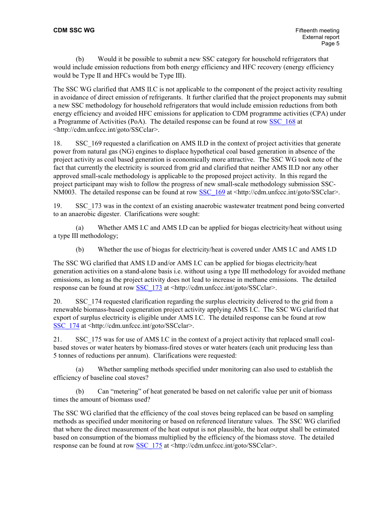(b) Would it be possible to submit a new SSC category for household refrigerators that would include emission reductions from both energy efficiency and HFC recovery (energy efficiency would be Type II and HFCs would be Type III).

The SSC WG clarified that AMS II.C is not applicable to the component of the project activity resulting in avoidance of direct emission of refrigerants. It further clarified that the project proponents may submit a new SSC methodology for household refrigerators that would include emission reductions from both energy efficiency and avoided HFC emissions for application to CDM programme activities (CPA) under a Programme of Activities (PoA). The detailed response can be found at row [SSC\\_168](http://cdm.unfccc.int/UserManagement/FileStorage/AM_CLAR_NY59PUZXTXL7XORH6SVFM7OX2Q21IC) at <http://cdm.unfccc.int/goto/SSCclar>.

18. SSC\_169 requested a clarification on AMS II.D in the context of project activities that generate power from natural gas (NG) engines to displace hypothetical coal based generation in absence of the project activity as coal based generation is economically more attractive. The SSC WG took note of the fact that currently the electricity is sourced from grid and clarified that neither AMS II.D nor any other approved small-scale methodology is applicable to the proposed project activity. In this regard the project participant may wish to follow the progress of new small-scale methodology submission SSC-NM003. The detailed response can be found at row [SSC\\_169](http://cdm.unfccc.int/UserManagement/FileStorage/AM_CLAR_9ZJZVEETT4WN71CJMXH2LVGAPDP7N0) at <http://cdm.unfccc.int/goto/SSCclar>.

19. SSC\_173 was in the context of an existing anaerobic wastewater treatment pond being converted to an anaerobic digester. Clarifications were sought:

(a) Whether AMS I.C and AMS I.D can be applied for biogas electricity/heat without using a type III methodology;

(b) Whether the use of biogas for electricity/heat is covered under AMS I.C and AMS I.D

The SSC WG clarified that AMS I.D and/or AMS I.C can be applied for biogas electricity/heat generation activities on a stand-alone basis i.e. without using a type III methodology for avoided methane emissions, as long as the project activity does not lead to increase in methane emissions. The detailed response can be found at row [SSC\\_173](http://cdm.unfccc.int/UserManagement/FileStorage/AM_CLAR_U3KLG9EJC7632RTOEG0MP10XFKJIV2) at <http://cdm.unfccc.int/goto/SSCclar>.

20. SSC\_174 requested clarification regarding the surplus electricity delivered to the grid from a renewable biomass-based cogeneration project activity applying AMS I.C. The SSC WG clarified that export of surplus electricity is eligible under AMS I.C. The detailed response can be found at row [SSC\\_174](http://cdm.unfccc.int/UserManagement/FileStorage/AM_CLAR_TXQN5G8AMPK25W50PENMXCUS2PASEH) at <http://cdm.unfccc.int/goto/SSCclar>.

21. SSC 175 was for use of AMS I.C in the context of a project activity that replaced small coalbased stoves or water heaters by biomass-fired stoves or water heaters (each unit producing less than 5 tonnes of reductions per annum). Clarifications were requested:

(a) Whether sampling methods specified under monitoring can also used to establish the efficiency of baseline coal stoves?

(b) Can "metering" of heat generated be based on net calorific value per unit of biomass times the amount of biomass used?

The SSC WG clarified that the efficiency of the coal stoves being replaced can be based on sampling methods as specified under monitoring or based on referenced literature values. The SSC WG clarified that where the direct measurement of the heat output is not plausible, the heat output shall be estimated based on consumption of the biomass multiplied by the efficiency of the biomass stove. The detailed response can be found at row [SSC\\_175](http://cdm.unfccc.int/UserManagement/FileStorage/AM_CLAR_T81SI5PA6IM4SEXBGNNAI6F5T506BU) at <http://cdm.unfccc.int/goto/SSCclar>.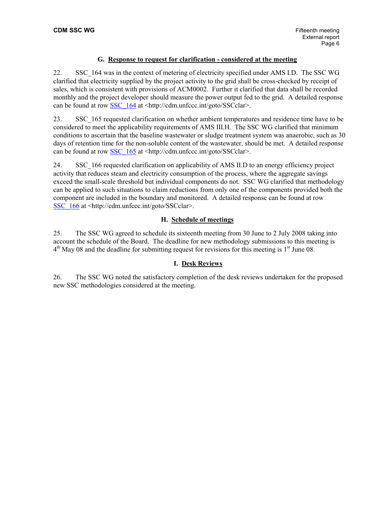# **G. Response to request for clarification - considered at the meeting**

22. SSC\_164 was in the context of metering of electricity specified under AMS I.D. The SSC WG clarified that electricity supplied by the project activity to the grid shall be cross-checked by receipt of sales, which is consistent with provisions of ACM0002. Further it clarified that data shall be recorded monthly and the project developer should measure the power output fed to the grid. A detailed response can be found at row [SSC\\_164](https://cdm.unfccc.int/UserManagement/FileStorage/AM_CLAR_6WI1ZMFYAOKQ6CVJJ7BZZCOCFEVR15) at <http://cdm.unfccc.int/goto/SSCclar>.

23. SSC\_165 requested clarification on whether ambient temperatures and residence time have to be considered to meet the applicability requirements of AMS III.H. The SSC WG clarified that minimum conditions to ascertain that the baseline wastewater or sludge treatment system was anaerobic, such as 30 days of retention time for the non-soluble content of the wastewater, should be met. A detailed response can be found at row [SSC\\_165](https://cdm.unfccc.int/UserManagement/FileStorage/AM_CLAR_9A5BUXK0BZ42WSNVHQ8VMDONR595SM) at <http://cdm.unfccc.int/goto/SSCclar>.

24. SSC\_166 requested clarification on applicability of AMS II.D to an energy efficiency project activity that reduces steam and electricity consumption of the process, where the aggregate savings exceed the small-scale threshold but individual components do not. SSC WG clarified that methodology can be applied to such situations to claim reductions from only one of the components provided both the component are included in the boundary and monitored. A detailed response can be found at row SSC  $166$  at  $\text{thttp}$ ://cdm.unfccc.int/goto/SSCclar>.

## **H. Schedule of meetings**

25. The SSC WG agreed to schedule its sixteenth meeting from 30 June to 2 July 2008 taking into account the schedule of the Board. The deadline for new methodology submissions to this meeting is  $4<sup>th</sup>$  May 08 and the deadline for submitting request for revisions for this meeting is  $1<sup>st</sup>$  June 08.

## **I. Desk Reviews**

26. The SSC WG noted the satisfactory completion of the desk reviews undertaken for the proposed new SSC methodologies considered at the meeting.